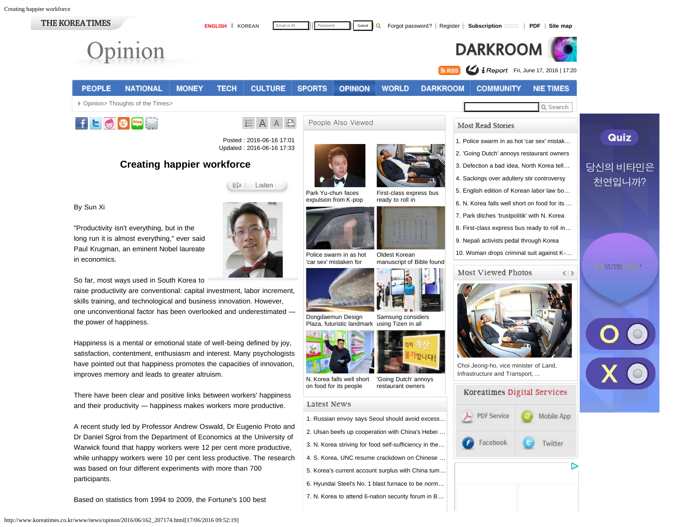<span id="page-0-0"></span>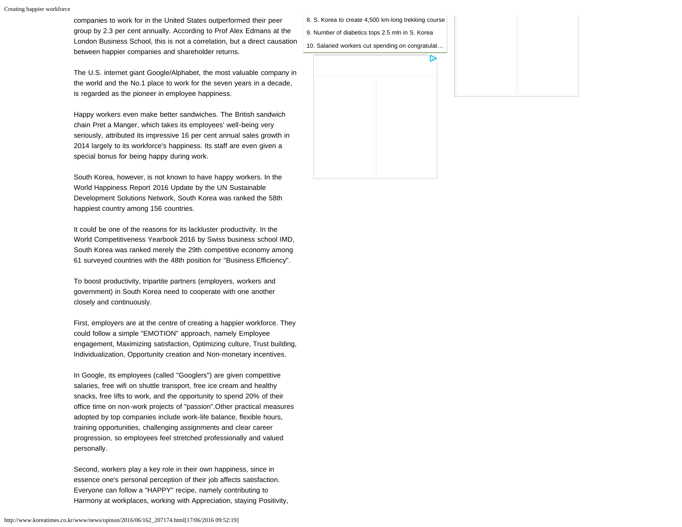companies to work for in the United States outperformed their peer group by 2.3 per cent annually. According to Prof Alex Edmans at the London Business School, this is not a correlation, but a direct causation between happier companies and shareholder returns.

The U.S. internet giant Google/Alphabet, the most valuable company in the world and the No.1 place to work for the seven years in a decade, is regarded as the pioneer in employee happiness.

Happy workers even make better sandwiches. The British sandwich chain Pret a Manger, which takes its employees' well-being very seriously, attributed its impressive 16 per cent annual sales growth in 2014 largely to its workforce's happiness. Its staff are even given a special bonus for being happy during work.

South Korea, however, is not known to have happy workers. In the World Happiness Report 2016 Update by the UN Sustainable Development Solutions Network, South Korea was ranked the 58th happiest country among 156 countries.

It could be one of the reasons for its lackluster productivity. In the World Competitiveness Yearbook 2016 by Swiss business school IMD, South Korea was ranked merely the 29th competitive economy among 61 surveyed countries with the 48th position for "Business Efficiency".

To boost productivity, tripartite partners (employers, workers and government) in South Korea need to cooperate with one another closely and continuously.

First, employers are at the centre of creating a happier workforce. They could follow a simple "EMOTION" approach, namely Employee engagement, Maximizing satisfaction, Optimizing culture, Trust building, Individualization, Opportunity creation and Non-monetary incentives.

In Google, its employees (called "Googlers") are given competitive salaries, free wifi on shuttle transport, free ice cream and healthy snacks, free lifts to work, and the opportunity to spend 20% of their office time on non-work projects of "passion".Other practical measures adopted by top companies include work-life balance, flexible hours, training opportunities, challenging assignments and clear career progression, so employees feel stretched professionally and valued personally.

Second, workers play a key role in their own happiness, since in essence one's personal perception of their job affects satisfaction. Everyone can follow a "HAPPY" recipe, namely contributing to Harmony at workplaces, working with Appreciation, staying Positivity, [8. S. Korea to create 4,500 km-long trekking course](http://www.koreatimes.co.kr/www/news/nation/2016/06/116_207229.html) [9. Number of diabetics tops 2.5 mln in S. Korea](http://www.koreatimes.co.kr/www/news/culture/2016/06/319_207228.html)

ь

[10. Salaried workers cut spending on congratulat…](http://www.koreatimes.co.kr/www/news/biz/2016/06/123_207227.html)